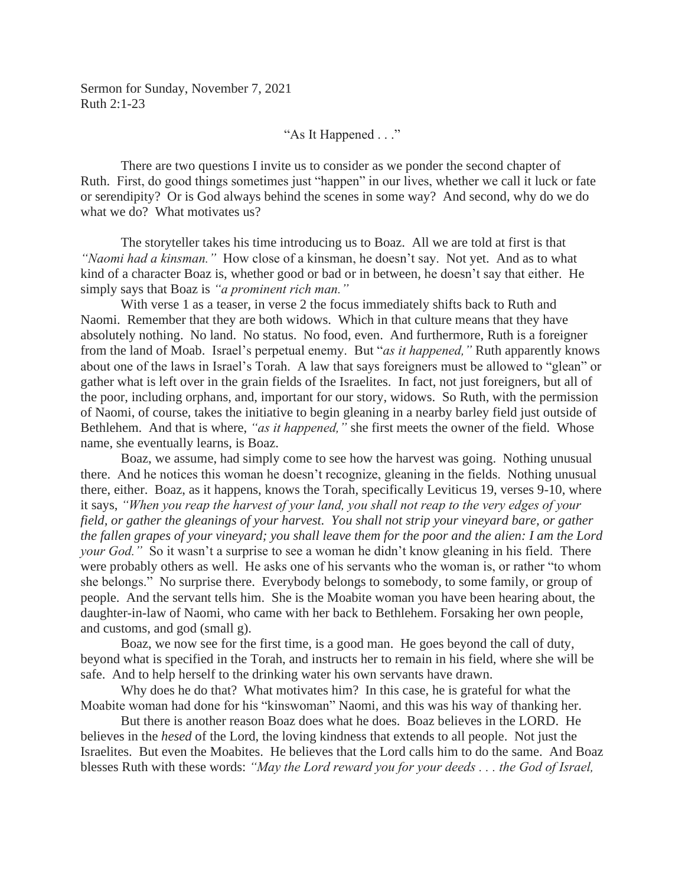"As It Happened . . ."

 There are two questions I invite us to consider as we ponder the second chapter of Ruth. First, do good things sometimes just "happen" in our lives, whether we call it luck or fate or serendipity? Or is God always behind the scenes in some way? And second, why do we do what we do? What motivates us?

 The storyteller takes his time introducing us to Boaz. All we are told at first is that *"Naomi had a kinsman."* How close of a kinsman, he doesn't say. Not yet. And as to what kind of a character Boaz is, whether good or bad or in between, he doesn't say that either. He simply says that Boaz is *"a prominent rich man."*

 With verse 1 as a teaser, in verse 2 the focus immediately shifts back to Ruth and Naomi. Remember that they are both widows. Which in that culture means that they have absolutely nothing. No land. No status. No food, even. And furthermore, Ruth is a foreigner from the land of Moab. Israel's perpetual enemy. But "*as it happened,"* Ruth apparently knows about one of the laws in Israel's Torah. A law that says foreigners must be allowed to "glean" or gather what is left over in the grain fields of the Israelites. In fact, not just foreigners, but all of the poor, including orphans, and, important for our story, widows. So Ruth, with the permission of Naomi, of course, takes the initiative to begin gleaning in a nearby barley field just outside of Bethlehem. And that is where, *"as it happened,"* she first meets the owner of the field. Whose name, she eventually learns, is Boaz.

Boaz, we assume, had simply come to see how the harvest was going. Nothing unusual there. And he notices this woman he doesn't recognize, gleaning in the fields. Nothing unusual there, either. Boaz, as it happens, knows the Torah, specifically Leviticus 19, verses 9-10, where it says, *"When you reap the harvest of your land, you shall not reap to the very edges of your field, or gather the gleanings of your harvest. You shall not strip your vineyard bare, or gather the fallen grapes of your vineyard; you shall leave them for the poor and the alien: I am the Lord your God.*" So it wasn't a surprise to see a woman he didn't know gleaning in his field. There were probably others as well. He asks one of his servants who the woman is, or rather "to whom she belongs." No surprise there. Everybody belongs to somebody, to some family, or group of people. And the servant tells him. She is the Moabite woman you have been hearing about, the daughter-in-law of Naomi, who came with her back to Bethlehem. Forsaking her own people, and customs, and god (small g).

 Boaz, we now see for the first time, is a good man. He goes beyond the call of duty, beyond what is specified in the Torah, and instructs her to remain in his field, where she will be safe. And to help herself to the drinking water his own servants have drawn.

 Why does he do that? What motivates him? In this case, he is grateful for what the Moabite woman had done for his "kinswoman" Naomi, and this was his way of thanking her.

 But there is another reason Boaz does what he does. Boaz believes in the LORD. He believes in the *hesed* of the Lord, the loving kindness that extends to all people. Not just the Israelites. But even the Moabites. He believes that the Lord calls him to do the same. And Boaz blesses Ruth with these words: *"May the Lord reward you for your deeds . . . the God of Israel,*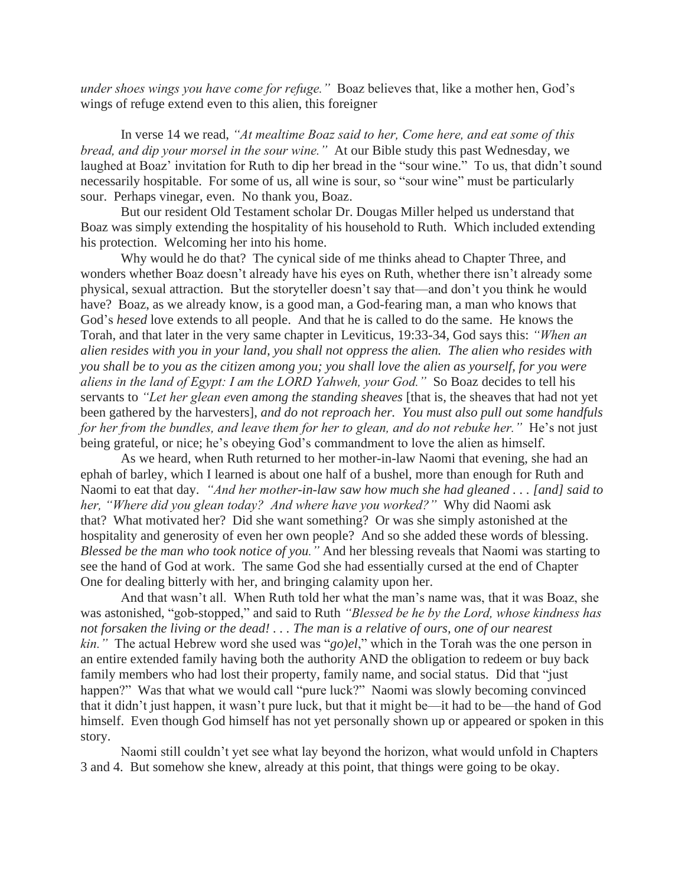*under shoes wings you have come for refuge."* Boaz believes that, like a mother hen, God's wings of refuge extend even to this alien, this foreigner

 In verse 14 we read, *"At mealtime Boaz said to her, Come here, and eat some of this bread, and dip your morsel in the sour wine."* At our Bible study this past Wednesday, we laughed at Boaz' invitation for Ruth to dip her bread in the "sour wine." To us, that didn't sound necessarily hospitable. For some of us, all wine is sour, so "sour wine" must be particularly sour. Perhaps vinegar, even. No thank you, Boaz.

 But our resident Old Testament scholar Dr. Dougas Miller helped us understand that Boaz was simply extending the hospitality of his household to Ruth. Which included extending his protection. Welcoming her into his home.

 Why would he do that? The cynical side of me thinks ahead to Chapter Three, and wonders whether Boaz doesn't already have his eyes on Ruth, whether there isn't already some physical, sexual attraction. But the storyteller doesn't say that—and don't you think he would have? Boaz, as we already know, is a good man, a God-fearing man, a man who knows that God's *hesed* love extends to all people. And that he is called to do the same. He knows the Torah, and that later in the very same chapter in Leviticus, 19:33-34, God says this: *"When an alien resides with you in your land, you shall not oppress the alien. The alien who resides with you shall be to you as the citizen among you; you shall love the alien as yourself, for you were aliens in the land of Egypt: I am the LORD Yahweh, your God."* So Boaz decides to tell his servants to *"Let her glean even among the standing sheaves* [that is, the sheaves that had not yet been gathered by the harvesters], *and do not reproach her. You must also pull out some handfuls for her from the bundles, and leave them for her to glean, and do not rebuke her.*" He's not just being grateful, or nice; he's obeying God's commandment to love the alien as himself.

 As we heard, when Ruth returned to her mother-in-law Naomi that evening, she had an ephah of barley, which I learned is about one half of a bushel, more than enough for Ruth and Naomi to eat that day. *"And her mother-in-law saw how much she had gleaned . . . [and] said to her, "Where did you glean today? And where have you worked?"* Why did Naomi ask that? What motivated her? Did she want something? Or was she simply astonished at the hospitality and generosity of even her own people? And so she added these words of blessing. *Blessed be the man who took notice of you."* And her blessing reveals that Naomi was starting to see the hand of God at work. The same God she had essentially cursed at the end of Chapter One for dealing bitterly with her, and bringing calamity upon her.

 And that wasn't all. When Ruth told her what the man's name was, that it was Boaz, she was astonished, "gob-stopped," and said to Ruth *"Blessed be he by the Lord, whose kindness has not forsaken the living or the dead! . . . The man is a relative of ours, one of our nearest kin."* The actual Hebrew word she used was "*go)el*," which in the Torah was the one person in an entire extended family having both the authority AND the obligation to redeem or buy back family members who had lost their property, family name, and social status. Did that "just happen?" Was that what we would call "pure luck?" Naomi was slowly becoming convinced that it didn't just happen, it wasn't pure luck, but that it might be—it had to be—the hand of God himself. Even though God himself has not yet personally shown up or appeared or spoken in this story.

 Naomi still couldn't yet see what lay beyond the horizon, what would unfold in Chapters 3 and 4. But somehow she knew, already at this point, that things were going to be okay.